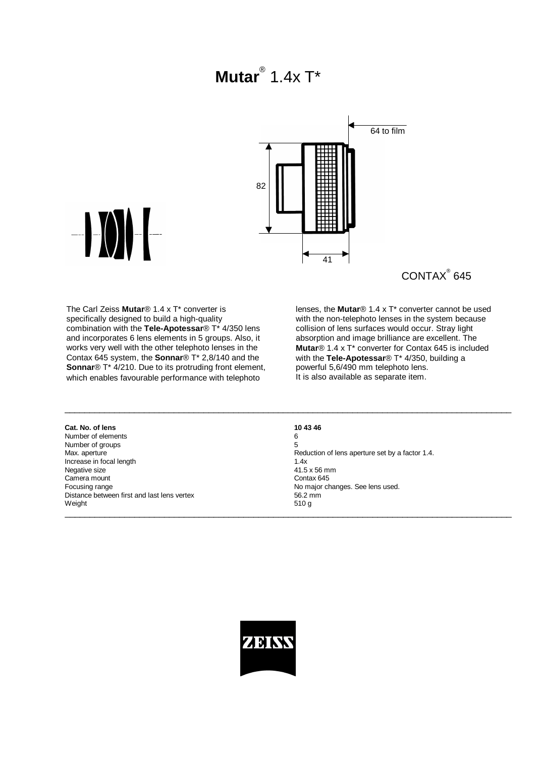## **Mutar**® 1.4x T\*



 $\mathsf{CONTAX}^\circ$  645

The Carl Zeiss **Mutar**® 1.4 x T\* converter is specifically designed to build a high-quality combination with the **Tele-Apotessar**® T\* 4/350 lens and incorporates 6 lens elements in 5 groups. Also, it works very well with the other telephoto lenses in the Contax 645 system, the **Sonnar**® T\* 2,8/140 and the **Sonnar**® T<sup>\*</sup> 4/210. Due to its protruding front element, which enables favourable performance with telephoto

lenses, the **Mutar**® 1.4 x T\* converter cannot be used with the non-telephoto lenses in the system because collision of lens surfaces would occur. Stray light absorption and image brilliance are excellent. The **Mutar**® 1.4 x T\* converter for Contax 645 is included with the **Tele-Apotessar**® T\* 4/350, building a powerful 5,6/490 mm telephoto lens. It is also available as separate item.

| 6                                               |
|-------------------------------------------------|
| 5                                               |
| Reduction of lens aperture set by a factor 1.4. |
| 1.4x                                            |
| 41.5 x 56 mm                                    |
| Contax 645                                      |
| No major changes. See lens used.                |
| 56.2 mm                                         |
| 510 g                                           |
|                                                 |

 $\_$  , and the state of the state of the state of the state of the state of the state of the state of the state of the state of the state of the state of the state of the state of the state of the state of the state of the